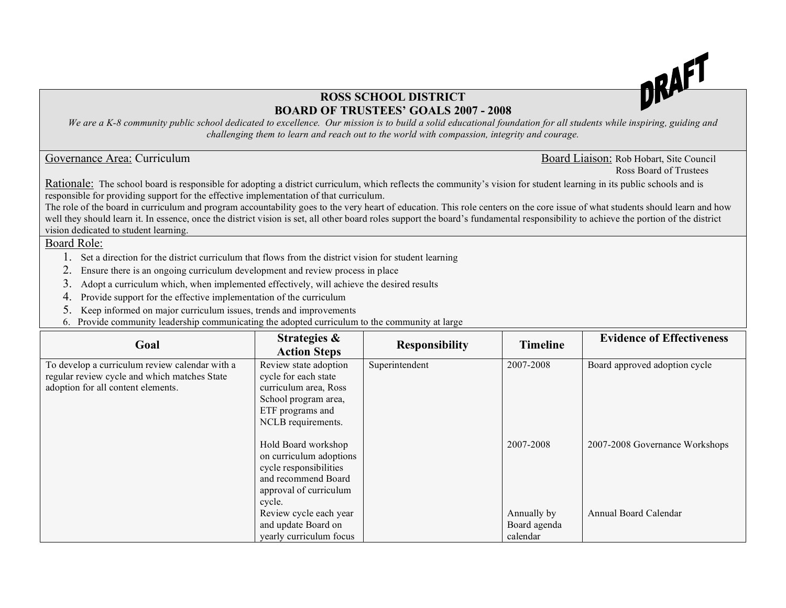

## **ROSS SCHOOL DISTRICT BOARD OF TRUSTEES' GOALS 2007 - 2008**

We are a K-8 community public school dedicated to excellence. Our mission is to build a solid educational foundation for all students while inspiring, guiding and *challenging them to learn and reach out to the world with compassion, integrity and courage.*

Governance Area: Curriculum and the council and the council and the council and the Board Liaison: Rob Hobart, Site Council Ross Board of Trustees

Rationale: The school board is responsible for adopting a district curriculum, which reflects the community's vision for student learning in its public schools and is responsible for providing support for the effective implementation of that curriculum.

The role of the board in curriculum and program accountability goes to the very heart of education. This role centers on the core issue of what students should learn and how well they should learn it. In essence, once the district vision is set, all other board roles support the board's fundamental responsibility to achieve the portion of the district vision dedicated to student learning.

Board Role:

- 1. Set a direction for the district curriculum that flows from the district vision for student learning
- 2. Ensure there is an ongoing curriculum development and review process in place
- 3. Adopt a curriculum which, when implemented effectively, will achieve the desired results
- 4. Provide support for the effective implementation of the curriculum
- 5. Keep informed on major curriculum issues, trends and improvements
- 6. Provide community leadership communicating the adopted curriculum to the community at large

| Goal                                                                                           | Strategies &<br><b>Action Steps</b>           | <b>Responsibility</b> | <b>Timeline</b> | <b>Evidence of Effectiveness</b> |
|------------------------------------------------------------------------------------------------|-----------------------------------------------|-----------------------|-----------------|----------------------------------|
| To develop a curriculum review calendar with a<br>regular review cycle and which matches State | Review state adoption<br>cycle for each state | Superintendent        | 2007-2008       | Board approved adoption cycle    |
| adoption for all content elements.                                                             | curriculum area, Ross                         |                       |                 |                                  |
|                                                                                                | School program area,<br>ETF programs and      |                       |                 |                                  |
|                                                                                                | NCLB requirements.                            |                       |                 |                                  |
|                                                                                                | Hold Board workshop                           |                       | 2007-2008       | 2007-2008 Governance Workshops   |
|                                                                                                | on curriculum adoptions                       |                       |                 |                                  |
|                                                                                                | cycle responsibilities<br>and recommend Board |                       |                 |                                  |
|                                                                                                | approval of curriculum                        |                       |                 |                                  |
|                                                                                                | cycle.                                        |                       |                 |                                  |
|                                                                                                | Review cycle each year                        |                       | Annually by     | Annual Board Calendar            |
|                                                                                                | and update Board on                           |                       | Board agenda    |                                  |
|                                                                                                | yearly curriculum focus                       |                       | calendar        |                                  |